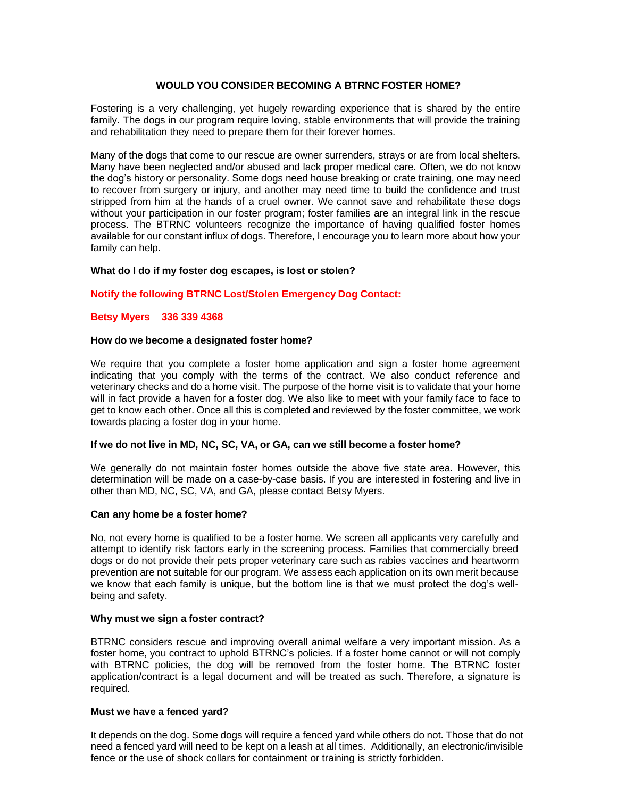# **WOULD YOU CONSIDER BECOMING A BTRNC FOSTER HOME?**

Fostering is a very challenging, yet hugely rewarding experience that is shared by the entire family. The dogs in our program require loving, stable environments that will provide the training and rehabilitation they need to prepare them for their forever homes.

Many of the dogs that come to our rescue are owner surrenders, strays or are from local shelters. Many have been neglected and/or abused and lack proper medical care. Often, we do not know the dog's history or personality. Some dogs need house breaking or crate training, one may need to recover from surgery or injury, and another may need time to build the confidence and trust stripped from him at the hands of a cruel owner. We cannot save and rehabilitate these dogs without your participation in our foster program; foster families are an integral link in the rescue process. The BTRNC volunteers recognize the importance of having qualified foster homes available for our constant influx of dogs. Therefore, I encourage you to learn more about how your family can help.

## **What do I do if my foster dog escapes, is lost or stolen?**

## **Notify the following BTRNC Lost/Stolen Emergency Dog Contact:**

### **Betsy Myers 336 339 4368**

### **How do we become a designated foster home?**

We require that you complete a foster home application and sign a foster home agreement indicating that you comply with the terms of the contract. We also conduct reference and veterinary checks and do a home visit. The purpose of the home visit is to validate that your home will in fact provide a haven for a foster dog. We also like to meet with your family face to face to get to know each other. Once all this is completed and reviewed by the foster committee, we work towards placing a foster dog in your home.

### **If we do not live in MD, NC, SC, VA, or GA, can we still become a foster home?**

We generally do not maintain foster homes outside the above five state area. However, this determination will be made on a case-by-case basis. If you are interested in fostering and live in other than MD, NC, SC, VA, and GA, please contact Betsy Myers.

### **Can any home be a foster home?**

No, not every home is qualified to be a foster home. We screen all applicants very carefully and attempt to identify risk factors early in the screening process. Families that commercially breed dogs or do not provide their pets proper veterinary care such as rabies vaccines and heartworm prevention are not suitable for our program. We assess each application on its own merit because we know that each family is unique, but the bottom line is that we must protect the dog's wellbeing and safety.

### **Why must we sign a foster contract?**

BTRNC considers rescue and improving overall animal welfare a very important mission. As a foster home, you contract to uphold BTRNC's policies. If a foster home cannot or will not comply with BTRNC policies, the dog will be removed from the foster home. The BTRNC foster application/contract is a legal document and will be treated as such. Therefore, a signature is required.

### **Must we have a fenced yard?**

It depends on the dog. Some dogs will require a fenced yard while others do not. Those that do not need a fenced yard will need to be kept on a leash at all times. Additionally, an electronic/invisible fence or the use of shock collars for containment or training is strictly forbidden.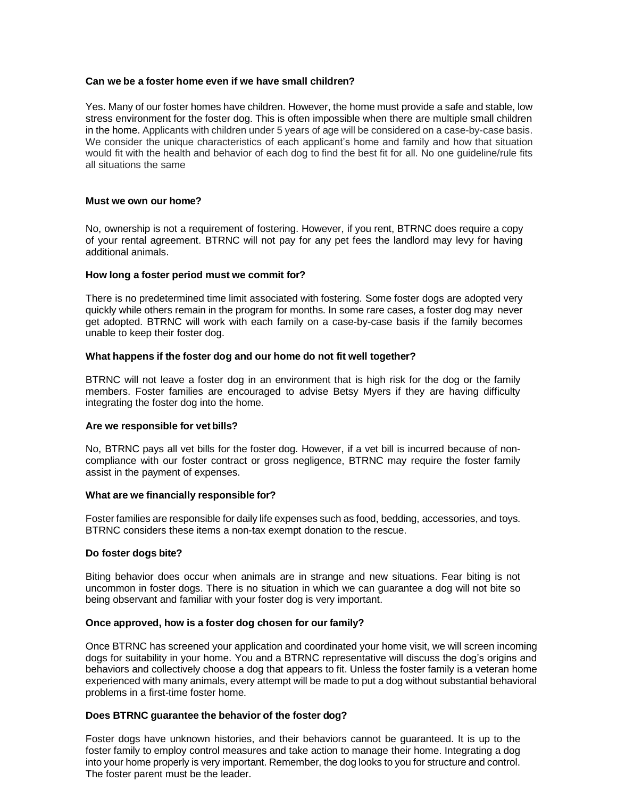## **Can we be a foster home even if we have small children?**

Yes. Many of our foster homes have children. However, the home must provide a safe and stable, low stress environment for the foster dog. This is often impossible when there are multiple small children in the home. Applicants with children under 5 years of age will be considered on a case-by-case basis. We consider the unique characteristics of each applicant's home and family and how that situation would fit with the health and behavior of each dog to find the best fit for all. No one guideline/rule fits all situations the same

## **Must we own our home?**

No, ownership is not a requirement of fostering. However, if you rent, BTRNC does require a copy of your rental agreement. BTRNC will not pay for any pet fees the landlord may levy for having additional animals.

## **How long a foster period must we commit for?**

There is no predetermined time limit associated with fostering. Some foster dogs are adopted very quickly while others remain in the program for months. In some rare cases, a foster dog may never get adopted. BTRNC will work with each family on a case-by-case basis if the family becomes unable to keep their foster dog.

## **What happens if the foster dog and our home do not fit well together?**

BTRNC will not leave a foster dog in an environment that is high risk for the dog or the family members. Foster families are encouraged to advise Betsy Myers if they are having difficulty integrating the foster dog into the home.

### **Are we responsible for vetbills?**

No, BTRNC pays all vet bills for the foster dog. However, if a vet bill is incurred because of noncompliance with our foster contract or gross negligence, BTRNC may require the foster family assist in the payment of expenses.

### **What are we financially responsible for?**

Foster families are responsible for daily life expenses such as food, bedding, accessories, and toys. BTRNC considers these items a non-tax exempt donation to the rescue.

## **Do foster dogs bite?**

Biting behavior does occur when animals are in strange and new situations. Fear biting is not uncommon in foster dogs. There is no situation in which we can guarantee a dog will not bite so being observant and familiar with your foster dog is very important.

## **Once approved, how is a foster dog chosen for our family?**

Once BTRNC has screened your application and coordinated your home visit, we will screen incoming dogs for suitability in your home. You and a BTRNC representative will discuss the dog's origins and behaviors and collectively choose a dog that appears to fit. Unless the foster family is a veteran home experienced with many animals, every attempt will be made to put a dog without substantial behavioral problems in a first-time foster home.

## **Does BTRNC guarantee the behavior of the foster dog?**

Foster dogs have unknown histories, and their behaviors cannot be guaranteed. It is up to the foster family to employ control measures and take action to manage their home. Integrating a dog into your home properly is very important. Remember, the dog looks to you for structure and control. The foster parent must be the leader.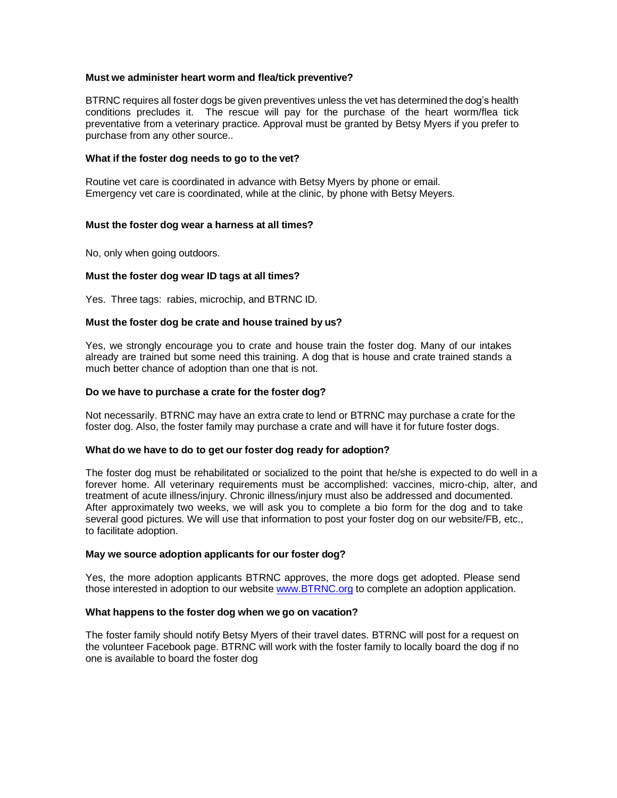## **Must we administer heart worm and flea/tick preventive?**

BTRNC requires all foster dogs be given preventives unless the vet has determined the dog's health conditions precludes it. The rescue will pay for the purchase of the heart worm/flea tick preventative from a veterinary practice. Approval must be granted by Betsy Myers if you prefer to purchase from any other source..

## **What if the foster dog needs to go to the vet?**

Routine vet care is coordinated in advance with Betsy Myers by phone or email. Emergency vet care is coordinated, while at the clinic, by phone with Betsy Meyers.

## **Must the foster dog wear a harness at all times?**

No, only when going outdoors.

## **Must the foster dog wear ID tags at all times?**

Yes. Three tags: rabies, microchip, and BTRNC ID.

## **Must the foster dog be crate and house trained by us?**

Yes, we strongly encourage you to crate and house train the foster dog. Many of our intakes already are trained but some need this training. A dog that is house and crate trained stands a much better chance of adoption than one that is not.

### **Do we have to purchase a crate for the foster dog?**

Not necessarily. BTRNC may have an extra crate to lend or BTRNC may purchase a crate for the foster dog. Also, the foster family may purchase a crate and will have it for future foster dogs.

### **What do we have to do to get our foster dog ready for adoption?**

The foster dog must be rehabilitated or socialized to the point that he/she is expected to do well in a forever home. All veterinary requirements must be accomplished: vaccines, micro-chip, alter, and treatment of acute illness/injury. Chronic illness/injury must also be addressed and documented. After approximately two weeks, we will ask you to complete a bio form for the dog and to take several good pictures. We will use that information to post your foster dog on our website/FB, etc., to facilitate adoption.

## **May we source adoption applicants for our foster dog?**

Yes, the more adoption applicants BTRNC approves, the more dogs get adopted. Please send those interested in adoption to our website [www.BTRNC.org](http://www.btrnc.org/) to complete an adoption application.

### **What happens to the foster dog when we go on vacation?**

The foster family should notify Betsy Myers of their travel dates. BTRNC will post for a request on the volunteer Facebook page. BTRNC will work with the foster family to locally board the dog if no one is available to board the foster dog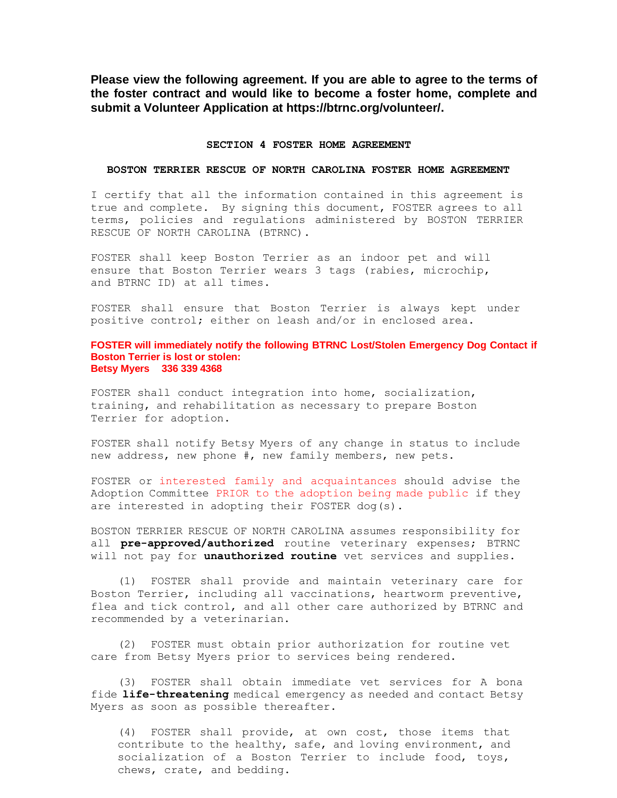**Please view the following agreement. If you are able to agree to the terms of the foster contract and would like to become a foster home, complete and submit a Volunteer Application at https://btrnc.org/volunteer/.**

#### **SECTION 4 FOSTER HOME AGREEMENT**

#### **BOSTON TERRIER RESCUE OF NORTH CAROLINA FOSTER HOME AGREEMENT**

I certify that all the information contained in this agreement is true and complete. By signing this document, FOSTER agrees to all terms, policies and regulations administered by BOSTON TERRIER RESCUE OF NORTH CAROLINA (BTRNC).

FOSTER shall keep Boston Terrier as an indoor pet and will ensure that Boston Terrier wears 3 tags (rabies, microchip, and BTRNC ID) at all times.

FOSTER shall ensure that Boston Terrier is always kept under positive control; either on leash and/or in enclosed area.

#### **FOSTER will immediately notify the following BTRNC Lost/Stolen Emergency Dog Contact if Boston Terrier is lost or stolen: Betsy Myers 336 339 4368**

FOSTER shall conduct integration into home, socialization, training, and rehabilitation as necessary to prepare Boston Terrier for adoption.

FOSTER shall notify Betsy Myers of any change in status to include new address, new phone #, new family members, new pets.

FOSTER or interested family and acquaintances should advise the Adoption Committee PRIOR to the adoption being made public if they are interested in adopting their FOSTER dog(s).

BOSTON TERRIER RESCUE OF NORTH CAROLINA assumes responsibility for all **pre-approved/authorized** routine veterinary expenses; BTRNC will not pay for **unauthorized routine** vet services and supplies.

(1) FOSTER shall provide and maintain veterinary care for Boston Terrier, including all vaccinations, heartworm preventive, flea and tick control, and all other care authorized by BTRNC and recommended by a veterinarian.

(2) FOSTER must obtain prior authorization for routine vet care from Betsy Myers prior to services being rendered.

(3) FOSTER shall obtain immediate vet services for A bona fide **life-threatening** medical emergency as needed and contact Betsy Myers as soon as possible thereafter.

(4) FOSTER shall provide, at own cost, those items that contribute to the healthy, safe, and loving environment, and socialization of a Boston Terrier to include food, toys, chews, crate, and bedding.